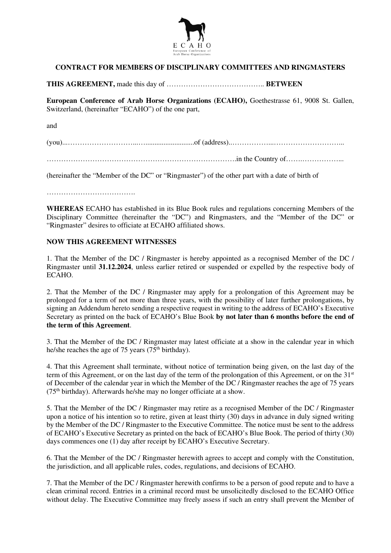

## **CONTRACT FOR MEMBERS OF DISCIPLINARY COMMITTEES AND RINGMASTERS**

**THIS AGREEMENT,** made this day of ………………………………….. **BETWEEN** 

**European Conference of Arab Horse Organizations (ECAHO),** Goethestrasse 61, 9008 St. Gallen, Switzerland, (hereinafter "ECAHO") of the one part,

and

(you)...………………………...…...........................of (address)..……………...………………………...

…………………………………………………………………….in the Country of…….……………...

(hereinafter the "Member of the DC" or "Ringmaster") of the other part with a date of birth of

……………………………….

**WHEREAS** ECAHO has established in its Blue Book rules and regulations concerning Members of the Disciplinary Committee (hereinafter the "DC") and Ringmasters, and the "Member of the DC" or "Ringmaster" desires to officiate at ECAHO affiliated shows.

## **NOW THIS AGREEMENT WITNESSES**

1. That the Member of the DC / Ringmaster is hereby appointed as a recognised Member of the DC / Ringmaster until **31.12.2024**, unless earlier retired or suspended or expelled by the respective body of ECAHO.

2. That the Member of the DC / Ringmaster may apply for a prolongation of this Agreement may be prolonged for a term of not more than three years, with the possibility of later further prolongations, by signing an Addendum hereto sending a respective request in writing to the address of ECAHO's Executive Secretary as printed on the back of ECAHO's Blue Book **by not later than 6 months before the end of the term of this Agreement**.

3. That the Member of the DC / Ringmaster may latest officiate at a show in the calendar year in which he/she reaches the age of 75 years ( $75<sup>th</sup>$  birthday).

4. That this Agreement shall terminate, without notice of termination being given, on the last day of the term of this Agreement, or on the last day of the term of the prolongation of this Agreement, or on the 31st of December of the calendar year in which the Member of the DC / Ringmaster reaches the age of 75 years  $(75<sup>th</sup> birthday)$ . Afterwards he/she may no longer officiate at a show.

5. That the Member of the DC / Ringmaster may retire as a recognised Member of the DC / Ringmaster upon a notice of his intention so to retire, given at least thirty (30) days in advance in duly signed writing by the Member of the DC / Ringmaster to the Executive Committee. The notice must be sent to the address of ECAHO's Executive Secretary as printed on the back of ECAHO's Blue Book. The period of thirty (30) days commences one (1) day after receipt by ECAHO's Executive Secretary.

6. That the Member of the DC / Ringmaster herewith agrees to accept and comply with the Constitution, the jurisdiction, and all applicable rules, codes, regulations, and decisions of ECAHO.

7. That the Member of the DC / Ringmaster herewith confirms to be a person of good repute and to have a clean criminal record. Entries in a criminal record must be unsolicitedly disclosed to the ECAHO Office without delay. The Executive Committee may freely assess if such an entry shall prevent the Member of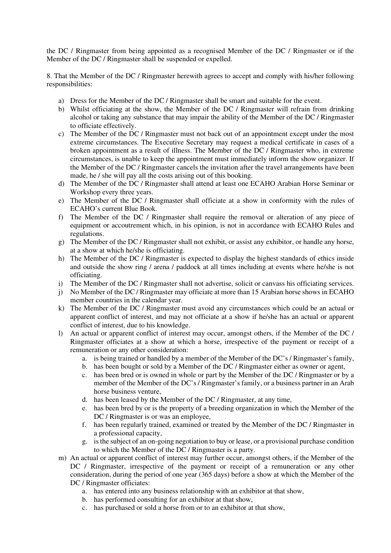the DC / Ringmaster from being appointed as a recognised Member of the DC / Ringmaster or if the Member of the DC / Ringmaster shall be suspended or expelled.

8. That the Member of the DC / Ringmaster herewith agrees to accept and comply with his/her following responsibilities:

- a) Dress for the Member of the DC / Ringmaster shall be smart and suitable for the event.
- b) Whilst officiating at the show, the Member of the DC / Ringmaster will refrain from drinking alcohol or taking any substance that may impair the ability of the Member of the DC / Ringmaster to officiate effectively.
- c) The Member of the DC / Ringmaster must not back out of an appointment except under the most extreme circumstances. The Executive Secretary may request a medical certificate in cases of a broken appointment as a result of illness. The Member of the DC / Ringmaster who, in extreme circumstances, is unable to keep the appointment must immediately inform the show organizer. If the Member of the DC / Ringmaster cancels the invitation after the travel arrangements have been made, he / she will pay all the costs arising out of this booking.
- d) The Member of the DC / Ringmaster shall attend at least one ECAHO Arabian Horse Seminar or Workshop every three years.
- e) The Member of the DC / Ringmaster shall officiate at a show in conformity with the rules of ECAHO's current Blue Book.
- f) The Member of the DC / Ringmaster shall require the removal or alteration of any piece of equipment or accoutrement which, in his opinion, is not in accordance with ECAHO Rules and regulations.
- g) The Member of the DC / Ringmaster shall not exhibit, or assist any exhibitor, or handle any horse, at a show at which he/she is officiating.
- h) The Member of the DC / Ringmaster is expected to display the highest standards of ethics inside and outside the show ring / arena / paddock at all times including at events where he/she is not officiating.
- i) The Member of the DC / Ringmaster shall not advertise, solicit or canvass his officiating services.
- j) No Member of the DC / Ringmaster may officiate at more than 15 Arabian horse shows in ECAHO member countries in the calendar year.
- k) The Member of the DC / Ringmaster must avoid any circumstances which could be an actual or apparent conflict of interest, and may not officiate at a show if he/she has an actual or apparent conflict of interest, due to his knowledge.
- l) An actual or apparent conflict of interest may occur, amongst others, if the Member of the DC / Ringmaster officiates at a show at which a horse, irrespective of the payment or receipt of a remuneration or any other consideration:
	- a. is being trained or handled by a member of the Member of the DC's / Ringmaster's family,
	- b. has been bought or sold by a Member of the DC / Ringmaster either as owner or agent,
	- c. has been bred or is owned in whole or part by the Member of the DC / Ringmaster or by a member of the Member of the DC's / Ringmaster's family, or a business partner in an Arab horse business venture,
	- d. has been leased by the Member of the DC / Ringmaster, at any time,
	- e. has been bred by or is the property of a breeding organization in which the Member of the DC / Ringmaster is or was an employee,
	- f. has been regularly trained, examined or treated by the Member of the DC / Ringmaster in a professional capacity,
	- g. is the subject of an on-going negotiation to buy or lease, or a provisional purchase condition to which the Member of the DC / Ringmaster is a party.
- m) An actual or apparent conflict of interest may further occur, amongst others, if the Member of the DC / Ringmaster, irrespective of the payment or receipt of a remuneration or any other consideration, during the period of one year (365 days) before a show at which the Member of the DC / Ringmaster officiates:
	- a. has entered into any business relationship with an exhibitor at that show,
	- b. has performed consulting for an exhibitor at that show,
	- c. has purchased or sold a horse from or to an exhibitor at that show,